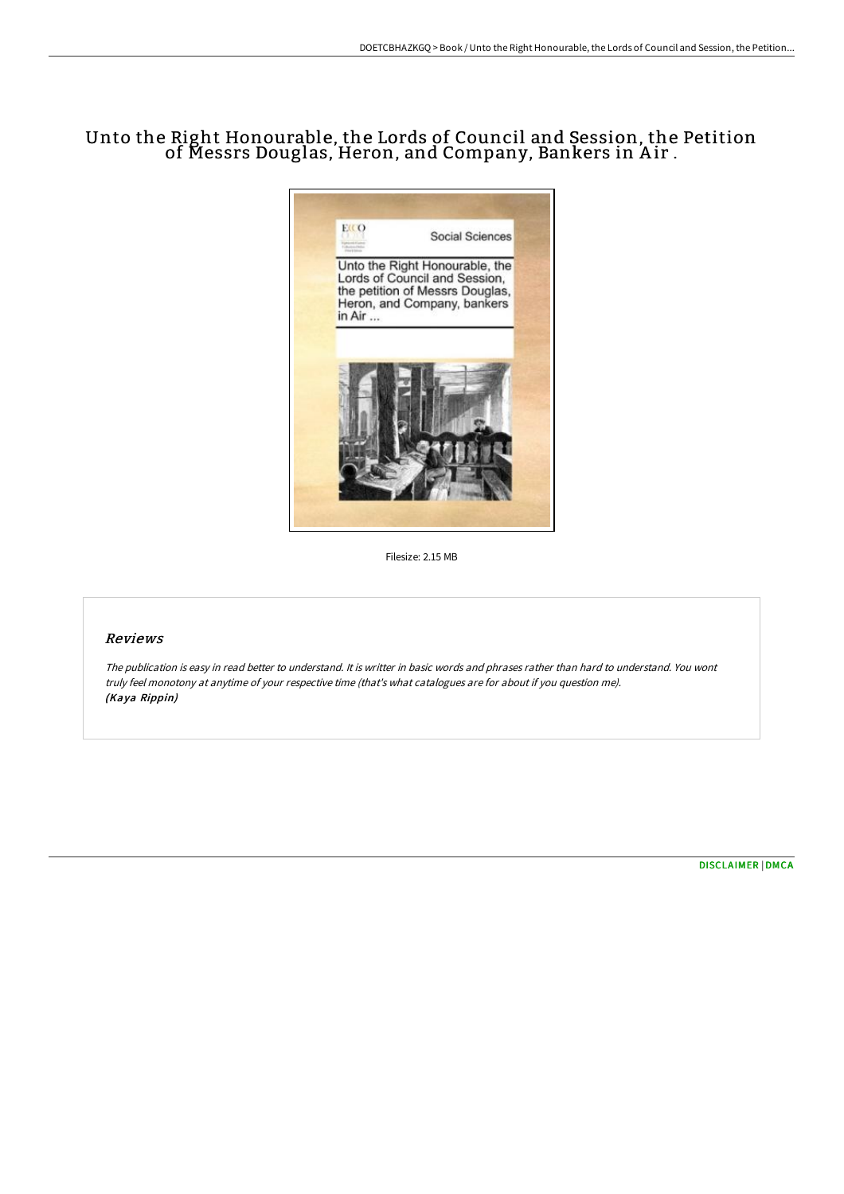# Unto the Right Honourable, the Lords of Council and Session, the Petition of Messrs Douglas, Heron, and Company, Bankers in Air .



Filesize: 2.15 MB

## Reviews

The publication is easy in read better to understand. It is writter in basic words and phrases rather than hard to understand. You wont truly feel monotony at anytime of your respective time (that's what catalogues are for about if you question me). (Kaya Rippin)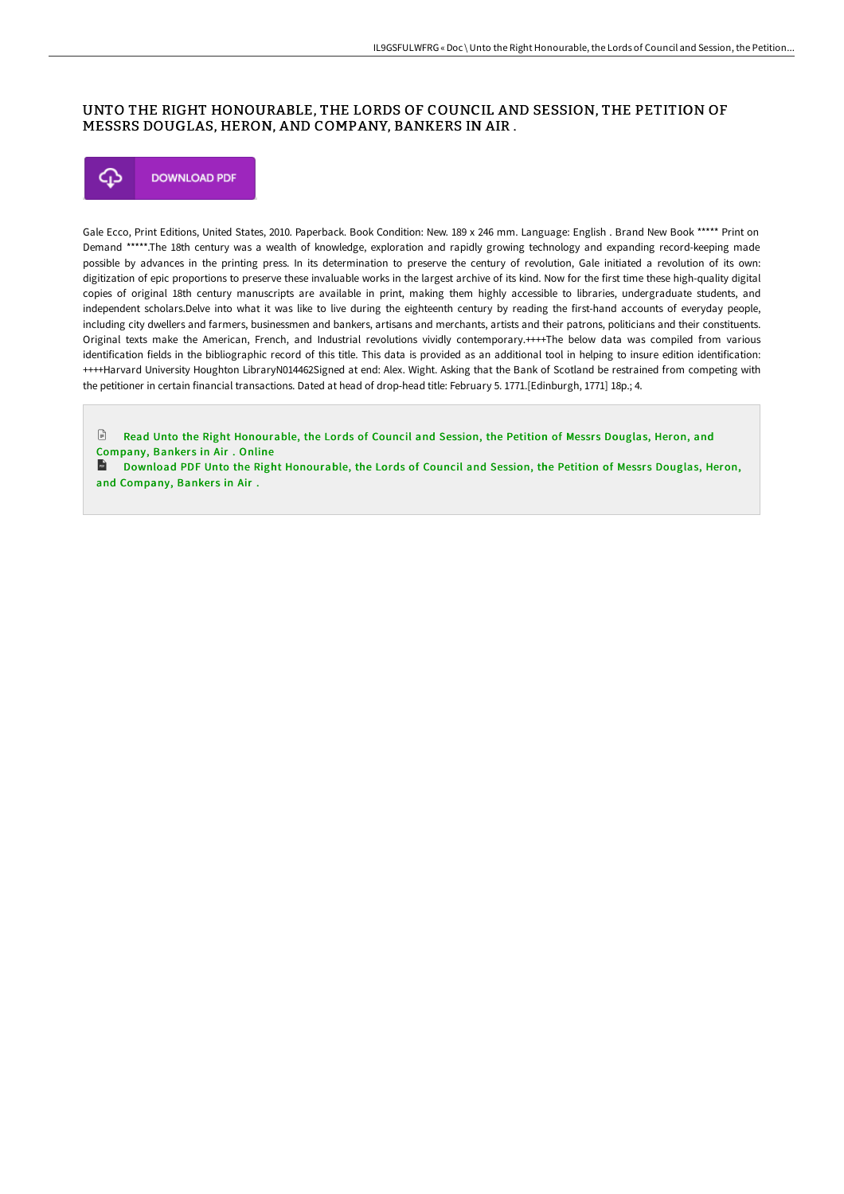#### UNTO THE RIGHT HONOURABLE, THE LORDS OF COUNCIL AND SESSION, THE PETITION OF MESSRS DOUGLAS, HERON, AND COMPANY, BANKERS IN AIR .



Gale Ecco, Print Editions, United States, 2010. Paperback. Book Condition: New. 189 x 246 mm. Language: English . Brand New Book \*\*\*\*\* Print on Demand \*\*\*\*\*.The 18th century was a wealth of knowledge, exploration and rapidly growing technology and expanding record-keeping made possible by advances in the printing press. In its determination to preserve the century of revolution, Gale initiated a revolution of its own: digitization of epic proportions to preserve these invaluable works in the largest archive of its kind. Now for the first time these high-quality digital copies of original 18th century manuscripts are available in print, making them highly accessible to libraries, undergraduate students, and independent scholars.Delve into what it was like to live during the eighteenth century by reading the first-hand accounts of everyday people, including city dwellers and farmers, businessmen and bankers, artisans and merchants, artists and their patrons, politicians and their constituents. Original texts make the American, French, and Industrial revolutions vividly contemporary.++++The below data was compiled from various identification fields in the bibliographic record of this title. This data is provided as an additional tool in helping to insure edition identification: ++++Harvard University Houghton LibraryN014462Signed at end: Alex. Wight. Asking that the Bank of Scotland be restrained from competing with the petitioner in certain financial transactions. Dated at head of drop-head title: February 5. 1771.[Edinburgh, 1771] 18p.; 4.

 $\mathbb{R}$ Read Unto the Right [Honourable,](http://techno-pub.tech/unto-the-right-honourable-the-lords-of-council-a-12.html) the Lords of Council and Session, the Petition of Messrs Douglas, Heron, and Company, Bankers in Air. Online

**D** Download PDF Unto the Right [Honourable,](http://techno-pub.tech/unto-the-right-honourable-the-lords-of-council-a-12.html) the Lords of Council and Session, the Petition of Messrs Douglas, Heron, and Company, Bankers in Air.